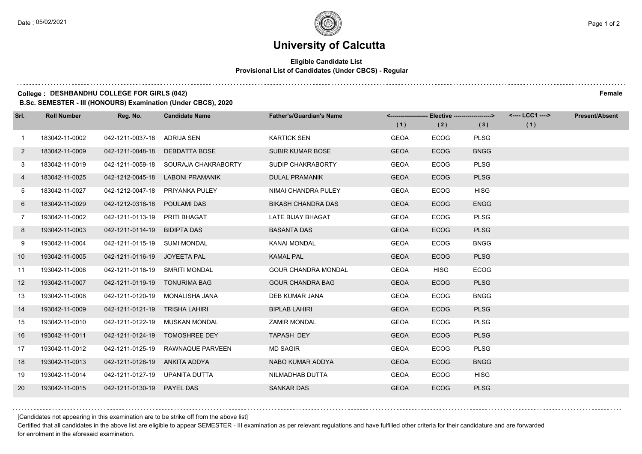$1.111$ 

# **University of Calcutta**

### **Eligible Candidate List Provisional List of Candidates (Under CBCS) - Regular**

#### **College : DESHBANDHU COLLEGE FOR GIRLS (042) Female**

**B.Sc. SEMESTER - III (HONOURS) Examination (Under CBCS), 2020**

| Srl.         | <b>Roll Number</b> | Reg. No.                       | <b>Candidate Name</b>                | <b>Father's/Guardian's Name</b> |             | <-------------------- Elective -------------------> |             | <---- LCC1 ----> | <b>Present/Absent</b> |
|--------------|--------------------|--------------------------------|--------------------------------------|---------------------------------|-------------|-----------------------------------------------------|-------------|------------------|-----------------------|
|              |                    |                                |                                      |                                 | (1)         | (2)                                                 | (3)         | (1)              |                       |
| $\mathbf{1}$ | 183042-11-0002     | 042-1211-0037-18               | ADRIJA SEN                           | <b>KARTICK SEN</b>              | <b>GEOA</b> | <b>ECOG</b>                                         | <b>PLSG</b> |                  |                       |
| $\mathbf{2}$ | 183042-11-0009     | 042-1211-0048-18               | <b>DEBDATTA BOSE</b>                 | SUBIR KUMAR BOSE                | <b>GEOA</b> | ECOG                                                | <b>BNGG</b> |                  |                       |
| 3            | 183042-11-0019     |                                | 042-1211-0059-18 SOURAJA CHAKRABORTY | SUDIP CHAKRABORTY               | <b>GEOA</b> | <b>ECOG</b>                                         | <b>PLSG</b> |                  |                       |
| 4            | 183042-11-0025     |                                | 042-1212-0045-18 LABONI PRAMANIK     | DULAL PRAMANIK                  | <b>GEOA</b> | <b>ECOG</b>                                         | <b>PLSG</b> |                  |                       |
| 5            | 183042-11-0027     | 042-1212-0047-18               | PRIYANKA PULEY                       | NIMAI CHANDRA PULEY             | <b>GEOA</b> | <b>ECOG</b>                                         | <b>HISG</b> |                  |                       |
| 6            | 183042-11-0029     | 042-1212-0318-18               | <b>POULAMI DAS</b>                   | <b>BIKASH CHANDRA DAS</b>       | <b>GEOA</b> | <b>ECOG</b>                                         | <b>ENGG</b> |                  |                       |
| $7^{\circ}$  | 193042-11-0002     | 042-1211-0113-19 PRITI BHAGAT  |                                      | LATE BIJAY BHAGAT               | <b>GEOA</b> | <b>ECOG</b>                                         | <b>PLSG</b> |                  |                       |
| 8            | 193042-11-0003     | 042-1211-0114-19 BIDIPTA DAS   |                                      | <b>BASANTA DAS</b>              | <b>GEOA</b> | <b>ECOG</b>                                         | <b>PLSG</b> |                  |                       |
| 9            | 193042-11-0004     | 042-1211-0115-19 SUMI MONDAL   |                                      | KANAI MONDAL                    | <b>GEOA</b> | <b>ECOG</b>                                         | <b>BNGG</b> |                  |                       |
| 10           | 193042-11-0005     | 042-1211-0116-19 JOYEETA PAL   |                                      | <b>KAMAL PAL</b>                | <b>GEOA</b> | <b>ECOG</b>                                         | <b>PLSG</b> |                  |                       |
| 11           | 193042-11-0006     | 042-1211-0118-19 SMRITI MONDAL |                                      | <b>GOUR CHANDRA MONDAL</b>      | <b>GEOA</b> | <b>HISG</b>                                         | <b>ECOG</b> |                  |                       |
| 12           | 193042-11-0007     | 042-1211-0119-19 TONURIMA BAG  |                                      | <b>GOUR CHANDRA BAG</b>         | <b>GEOA</b> | <b>ECOG</b>                                         | <b>PLSG</b> |                  |                       |
| 13           | 193042-11-0008     | 042-1211-0120-19               | MONALISHA JANA                       | DEB KUMAR JANA                  | <b>GEOA</b> | <b>ECOG</b>                                         | <b>BNGG</b> |                  |                       |
| 14           | 193042-11-0009     | 042-1211-0121-19 TRISHA LAHIRI |                                      | <b>BIPLAB LAHIRI</b>            | <b>GEOA</b> | <b>ECOG</b>                                         | <b>PLSG</b> |                  |                       |
| 15           | 193042-11-0010     |                                | 042-1211-0122-19 MUSKAN MONDAL       | <b>ZAMIR MONDAL</b>             | <b>GEOA</b> | <b>ECOG</b>                                         | <b>PLSG</b> |                  |                       |
| 16           | 193042-11-0011     |                                | 042-1211-0124-19 TOMOSHREE DEY       | TAPASH DEY                      | <b>GEOA</b> | <b>ECOG</b>                                         | <b>PLSG</b> |                  |                       |
| 17           | 193042-11-0012     | 042-1211-0125-19               | RAWNAQUE PARVEEN                     | <b>MD SAGIR</b>                 | <b>GEOA</b> | <b>ECOG</b>                                         | <b>PLSG</b> |                  |                       |
| 18           | 193042-11-0013     | 042-1211-0126-19 ANKITA ADDYA  |                                      | NABO KUMAR ADDYA                | <b>GEOA</b> | <b>ECOG</b>                                         | <b>BNGG</b> |                  |                       |
| 19           | 193042-11-0014     | 042-1211-0127-19 UPANITA DUTTA |                                      | NILMADHAB DUTTA                 | <b>GEOA</b> | <b>ECOG</b>                                         | <b>HISG</b> |                  |                       |
| <b>20</b>    | 193042-11-0015     | 042-1211-0130-19 PAYEL DAS     |                                      | <b>SANKAR DAS</b>               | <b>GEOA</b> | <b>ECOG</b>                                         | <b>PLSG</b> |                  |                       |

[Candidates not appearing in this examination are to be strike off from the above list]

Certified that all candidates in the above list are eligible to appear SEMESTER - III examination as per relevant regulations and have fulfilled other criteria for their candidature and are forwarded for enrolment in the aforesaid examination.

. . . . . . . . . .